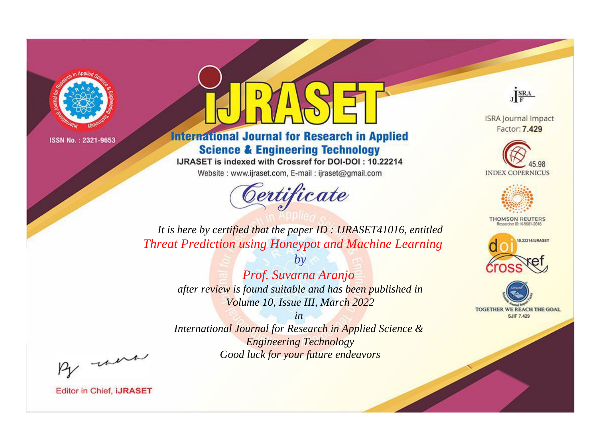

# **International Journal for Research in Applied Science & Engineering Technology**

IJRASET is indexed with Crossref for DOI-DOI: 10.22214

Website: www.ijraset.com, E-mail: ijraset@gmail.com



JERA

**ISRA Journal Impact** Factor: 7.429





**THOMSON REUTERS** 



TOGETHER WE REACH THE GOAL **SJIF 7.429** 

*It is here by certified that the paper ID : IJRASET41016, entitled Threat Prediction using Honeypot and Machine Learning*

> *by Prof. Suvarna Aranjo after review is found suitable and has been published in Volume 10, Issue III, March 2022*

> > *in*

*International Journal for Research in Applied Science & Engineering Technology Good luck for your future endeavors*

By morn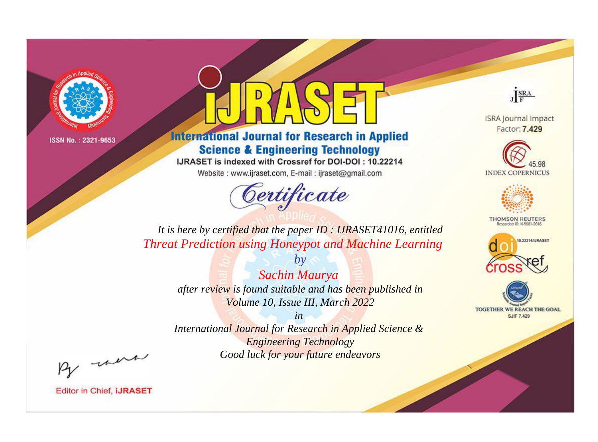

# **International Journal for Research in Applied Science & Engineering Technology**

IJRASET is indexed with Crossref for DOI-DOI: 10.22214

Website: www.ijraset.com, E-mail: ijraset@gmail.com



JERA

**ISRA Journal Impact** Factor: 7.429





**THOMSON REUTERS** 



TOGETHER WE REACH THE GOAL **SJIF 7.429** 

*It is here by certified that the paper ID : IJRASET41016, entitled Threat Prediction using Honeypot and Machine Learning*

> *by Sachin Maurya after review is found suitable and has been published in Volume 10, Issue III, March 2022*

> > *in*

*International Journal for Research in Applied Science & Engineering Technology Good luck for your future endeavors*

By morn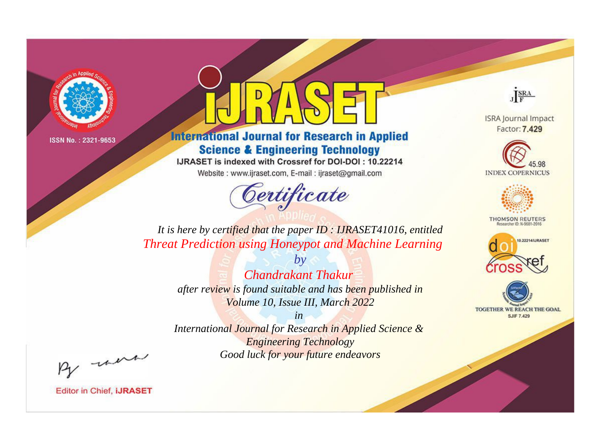

# **International Journal for Research in Applied Science & Engineering Technology**

IJRASET is indexed with Crossref for DOI-DOI: 10.22214

Website: www.ijraset.com, E-mail: ijraset@gmail.com



JERA

**ISRA Journal Impact** Factor: 7.429





**THOMSON REUTERS** 



TOGETHER WE REACH THE GOAL **SJIF 7.429** 

It is here by certified that the paper ID : IJRASET41016, entitled **Threat Prediction using Honeypot and Machine Learning** 

> **Chandrakant Thakur** after review is found suitable and has been published in Volume 10, Issue III, March 2022

 $b\nu$ 

 $in$ International Journal for Research in Applied Science & **Engineering Technology** Good luck for your future endeavors

By morn